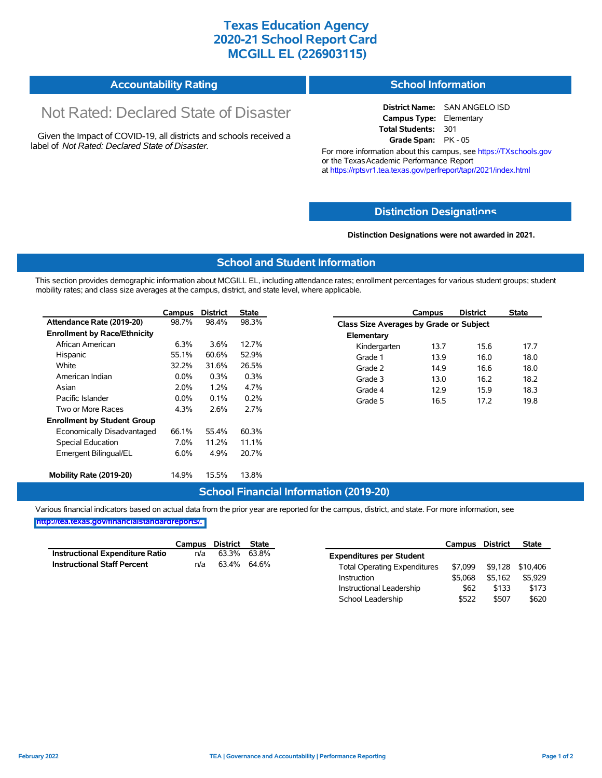## **Texas Education Agency 2020-21 School Report Card MCGILL EL (226903115)**

| <b>Accountability Rating</b> | <b>School Information</b> |
|------------------------------|---------------------------|
|------------------------------|---------------------------|

# Not Rated: Declared State of Disaster

Given the Impact of COVID-19, all districts and schools received a label of *Not Rated: Declared State of Disaster.*

**District Name:** SAN ANGELO ISD **Campus Type:** Elementary **Total Students:** 301 **Grade Span:** PK - 05

For more information about this campus, see https://TXschools.gov or the Texas Academic Performance Report at https://rptsvr1.tea.texas.gov/perfreport/tapr/2021/index.html

#### **Distinction Designat[ions](https://TXschools.gov)**

**Distinction Designations were not awarded in 2021.**

School Leadership  $$522$  \$507 \$620

#### **School and Student Information**

This section provides demographic information about MCGILL EL, including attendance rates; enrollment percentages for various student groups; student mobility rates; and class size averages at the campus, district, and state level, where applicable.

|                                     | Campus  | <b>District</b> | <b>State</b> |              | Campus                                  | <b>District</b> | <b>State</b> |  |  |
|-------------------------------------|---------|-----------------|--------------|--------------|-----------------------------------------|-----------------|--------------|--|--|
| Attendance Rate (2019-20)           | 98.7%   | 98.4%           | 98.3%        |              | Class Size Averages by Grade or Subject |                 |              |  |  |
| <b>Enrollment by Race/Ethnicity</b> |         |                 |              | Elementary   |                                         |                 |              |  |  |
| African American                    | 6.3%    | 3.6%            | 12.7%        | Kindergarten | 13.7                                    | 15.6            | 17.7         |  |  |
| Hispanic                            | 55.1%   | 60.6%           | 52.9%        | Grade 1      | 13.9                                    | 16.0            | 18.0         |  |  |
| White                               | 32.2%   | 31.6%           | 26.5%        | Grade 2      | 14.9                                    | 16.6            | 18.0         |  |  |
| American Indian                     | $0.0\%$ | 0.3%            | 0.3%         | Grade 3      | 13.0                                    | 16.2            | 18.2         |  |  |
| Asian                               | 2.0%    | 1.2%            | 4.7%         | Grade 4      | 12.9                                    | 15.9            | 18.3         |  |  |
| Pacific Islander                    | $0.0\%$ | 0.1%            | 0.2%         | Grade 5      | 16.5                                    | 17.2            | 19.8         |  |  |
| Two or More Races                   | 4.3%    | 2.6%            | 2.7%         |              |                                         |                 |              |  |  |
| <b>Enrollment by Student Group</b>  |         |                 |              |              |                                         |                 |              |  |  |
| Economically Disadvantaged          | 66.1%   | 55.4%           | 60.3%        |              |                                         |                 |              |  |  |
| Special Education                   | 7.0%    | 11.2%           | 11.1%        |              |                                         |                 |              |  |  |
| Emergent Bilingual/EL               | 6.0%    | 4.9%            | 20.7%        |              |                                         |                 |              |  |  |
|                                     |         |                 |              |              |                                         |                 |              |  |  |
| Mobility Rate (2019-20)             | 14.9%   | 15.5%           | 13.8%        |              |                                         |                 |              |  |  |

### **School Financial Information (2019-20)**

Various financial indicators based on actual data from the prior year are reported for the campus, district, and state. For more information, see

**[http://tea.texas.gov/financialstandardreports/.](http://tea.texas.gov/financialstandardreports/)**

|                                        | Campus | District | State       |                                     | Campus  | <b>District</b> | <b>State</b>     |
|----------------------------------------|--------|----------|-------------|-------------------------------------|---------|-----------------|------------------|
| <b>Instructional Expenditure Ratio</b> | n/a    | 63.3%    | 63.8%       | <b>Expenditures per Student</b>     |         |                 |                  |
| <b>Instructional Staff Percent</b>     | n/a    |          | 63.4% 64.6% | <b>Total Operating Expenditures</b> | \$7.099 |                 | \$9,128 \$10,406 |
|                                        |        |          |             | Instruction                         | \$5.068 | \$5.162         | \$5.929          |
|                                        |        |          |             | Instructional Leadership            | \$62    | \$133           | \$173            |